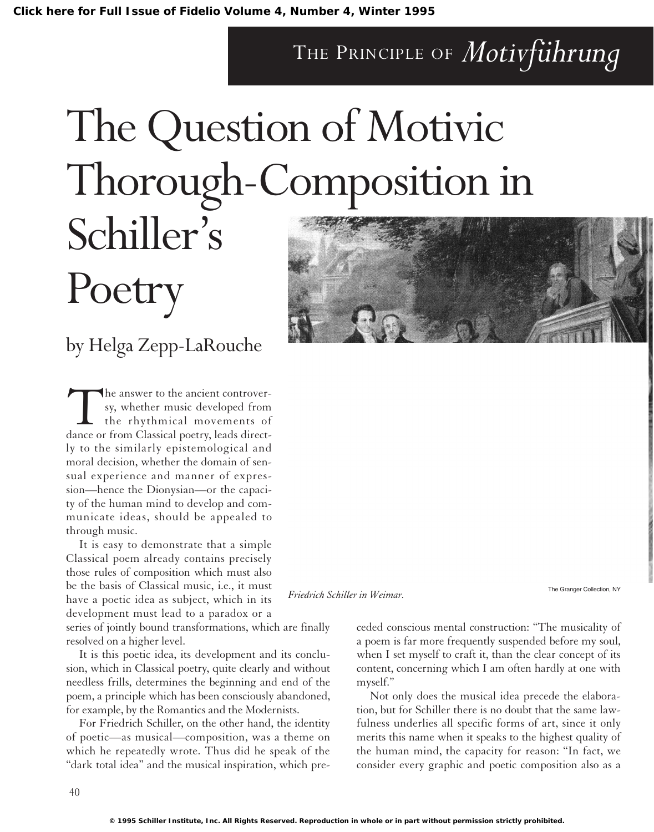### THE PRINCIPLE OF *Motivführung*

## The Question of Motivic Thorough-Composition in Schiller's

# **Poetry**

### by Helga Zepp-LaRouche

The answer to the ancient controver-<br>sy, whether music developed from<br>the rhythmical movements of<br>dance or from Classical poetry, leads directsy, whether music developed from the rhythmical movements of ly to the similarly epistemological and moral decision, whether the domain of sensual experience and manner of expression—hence the Dionysian—or the capacity of the human mind to develop and communicate ideas, should be appealed to through music.

It is easy to demonstrate that a simple Classical poem already contains precisely those rules of composition which must also be the basis of Classical music, i.e., it must have a poetic idea as subject, which in its development must lead to a paradox or a

series of jointly bound transformations, which are finally resolved on a higher level.

It is this poetic idea, its development and its conclusion, which in Classical poetry, quite clearly and without needless frills, determines the beginning and end of the poem, a principle which has been consciously abandoned, for example, by the Romantics and the Modernists.

For Friedrich Schiller, on the other hand, the identity of poetic—as musical—composition, was a theme on which he repeatedly wrote. Thus did he speak of the "dark total idea" and the musical inspiration, which pre-



The Granger Collection, NY *Friedrich Schiller in Weimar.*

ceded conscious mental construction: "The musicality of a poem is far more frequently suspended before my soul, when I set myself to craft it, than the clear concept of its content, concerning which I am often hardly at one with myself."

Not only does the musical idea precede the elaboration, but for Schiller there is no doubt that the same lawfulness underlies all specific forms of art, since it only merits this name when it speaks to the highest quality of the human mind, the capacity for reason: "In fact, we consider every graphic and poetic composition also as a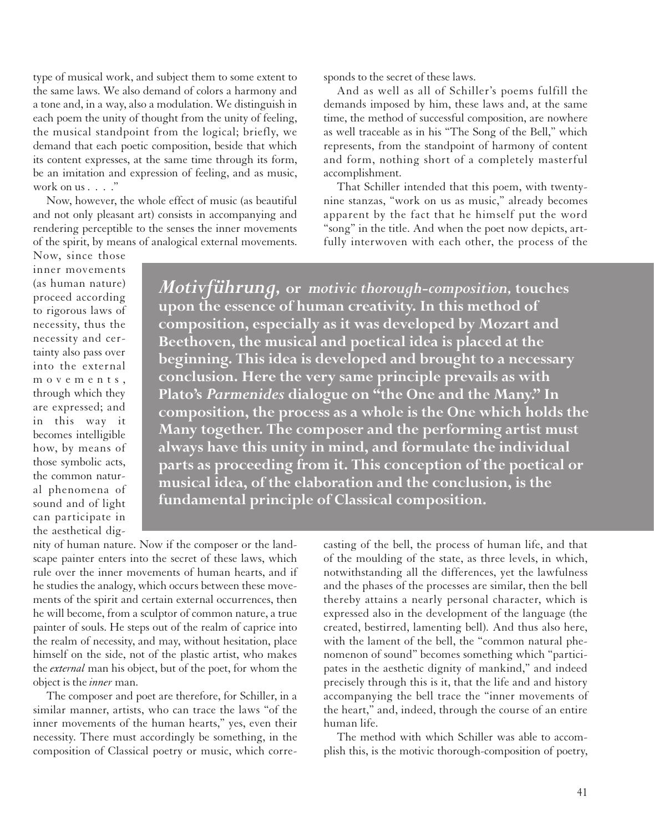type of musical work, and subject them to some extent to the same laws. We also demand of colors a harmony and a tone and, in a way, also a modulation. We distinguish in each poem the unity of thought from the unity of feeling, the musical standpoint from the logical; briefly, we demand that each poetic composition, beside that which its content expresses, at the same time through its form, be an imitation and expression of feeling, and as music, work on us . . . ."

Now, however, the whole effect of music (as beautiful and not only pleasant art) consists in accompanying and rendering perceptible to the senses the inner movements of the spirit, by means of analogical external movements. sponds to the secret of these laws.

And as well as all of Schiller's poems fulfill the demands imposed by him, these laws and, at the same time, the method of successful composition, are nowhere as well traceable as in his "The Song of the Bell," which represents, from the standpoint of harmony of content and form, nothing short of a completely masterful accomplishment.

That Schiller intended that this poem, with twentynine stanzas, "work on us as music," already becomes apparent by the fact that he himself put the word "song" in the title. And when the poet now depicts, artfully interwoven with each other, the process of the

Now, since those inner movements (as human nature) proceed according to rigorous laws of necessity, thus the necessity and certainty also pass over into the external movements, through which they are expressed; and in this way it becomes intelligible how, by means of those symbolic acts, the common natural phenomena of sound and of light can participate in the aesthetical dig-

*Motivführung,* **or** *motivic thorough-composition,* **touches upon the essence of human creativity. In this method of composition, especially as it was developed by Mozart and Beethoven, the musical and poetical idea is placed at the beginning. This idea is developed and brought to a necessary conclusion. Here the very same principle prevails as with Plato's** *Parmenides* **dialogue on "the One and the Many." In composition, the process as a whole is the One which holds the Many together. The composer and the performing artist must always have this unity in mind, and formulate the individual parts as proceeding from it. This conception of the poetical or musical idea, of the elaboration and the conclusion, is the fundamental principle of Classical composition.**

nity of human nature. Now if the composer or the landscape painter enters into the secret of these laws, which rule over the inner movements of human hearts, and if he studies the analogy, which occurs between these movements of the spirit and certain external occurrences, then he will become, from a sculptor of common nature, a true painter of souls. He steps out of the realm of caprice into the realm of necessity, and may, without hesitation, place himself on the side, not of the plastic artist, who makes the *external* man his object, but of the poet, for whom the object is the *inner* man.

The composer and poet are therefore, for Schiller, in a similar manner, artists, who can trace the laws "of the inner movements of the human hearts," yes, even their necessity. There must accordingly be something, in the composition of Classical poetry or music, which correcasting of the bell, the process of human life, and that of the moulding of the state, as three levels, in which, notwithstanding all the differences, yet the lawfulness and the phases of the processes are similar, then the bell thereby attains a nearly personal character, which is expressed also in the development of the language (the created, bestirred, lamenting bell). And thus also here, with the lament of the bell, the "common natural phenomenon of sound" becomes something which "participates in the aesthetic dignity of mankind," and indeed precisely through this is it, that the life and and history accompanying the bell trace the "inner movements of the heart," and, indeed, through the course of an entire human life.

The method with which Schiller was able to accomplish this, is the motivic thorough-composition of poetry,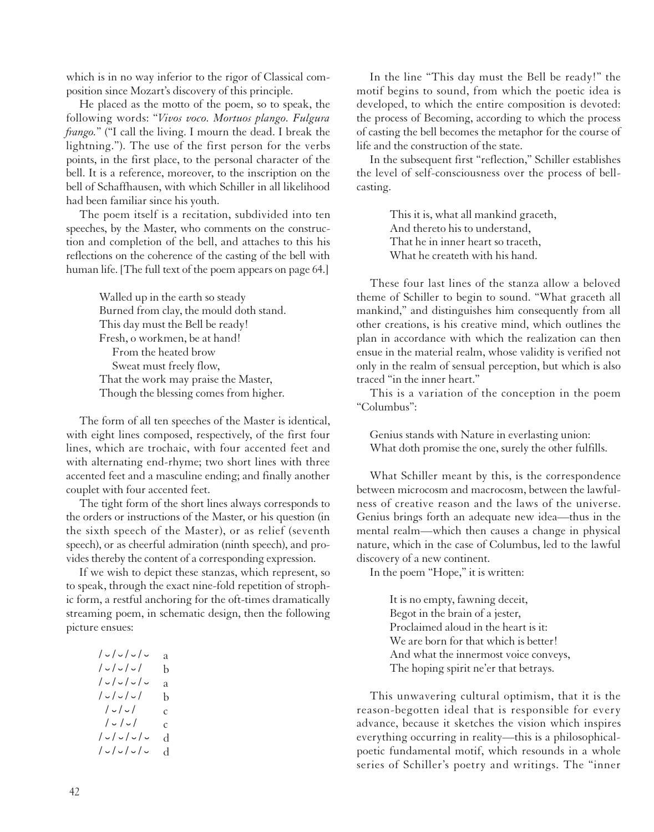which is in no way inferior to the rigor of Classical composition since Mozart's discovery of this principle.

He placed as the motto of the poem, so to speak, the following words: "*Vivos voco. Mortuos plango. Fulgura frango.*" ("I call the living. I mourn the dead. I break the lightning."). The use of the first person for the verbs points, in the first place, to the personal character of the bell. It is a reference, moreover, to the inscription on the bell of Schaffhausen, with which Schiller in all likelihood had been familiar since his youth.

The poem itself is a recitation, subdivided into ten speeches, by the Master, who comments on the construction and completion of the bell, and attaches to this his reflections on the coherence of the casting of the bell with human life. [The full text of the poem appears on page 64.]

> Walled up in the earth so steady Burned from clay, the mould doth stand. This day must the Bell be ready! Fresh, o workmen, be at hand! From the heated brow Sweat must freely flow, That the work may praise the Master, Though the blessing comes from higher.

The form of all ten speeches of the Master is identical, with eight lines composed, respectively, of the first four lines, which are trochaic, with four accented feet and with alternating end-rhyme; two short lines with three accented feet and a masculine ending; and finally another couplet with four accented feet.

The tight form of the short lines always corresponds to the orders or instructions of the Master, or his question (in the sixth speech of the Master), or as relief (seventh speech), or as cheerful admiration (ninth speech), and provides thereby the content of a corresponding expression.

If we wish to depict these stanzas, which represent, so to speak, through the exact nine-fold repetition of strophic form, a restful anchoring for the oft-times dramatically streaming poem, in schematic design, then the following picture ensues:

| $/ \cup / \cup / \cup / \cup$ | а |
|-------------------------------|---|
| $/ \cup / \cup / \cup /$      | b |
|                               | а |
| $/ \cup / \cup / \cup /$      | b |
| $/ \cup / \cup /$             | C |
| $/ \cup / \cup /$             | C |
| $/ \cup / \cup / \cup / \cup$ | d |
|                               | d |
|                               |   |

In the line "This day must the Bell be ready!" the motif begins to sound, from which the poetic idea is developed, to which the entire composition is devoted: the process of Becoming, according to which the process of casting the bell becomes the metaphor for the course of life and the construction of the state.

In the subsequent first "reflection," Schiller establishes the level of self-consciousness over the process of bellcasting.

> This it is, what all mankind graceth, And thereto his to understand, That he in inner heart so traceth, What he createth with his hand.

These four last lines of the stanza allow a beloved theme of Schiller to begin to sound. "What graceth all mankind," and distinguishes him consequently from all other creations, is his creative mind, which outlines the plan in accordance with which the realization can then ensue in the material realm, whose validity is verified not only in the realm of sensual perception, but which is also traced "in the inner heart."

This is a variation of the conception in the poem "Columbus":

Genius stands with Nature in everlasting union: What doth promise the one, surely the other fulfills.

What Schiller meant by this, is the correspondence between microcosm and macrocosm, between the lawfulness of creative reason and the laws of the universe. Genius brings forth an adequate new idea—thus in the mental realm—which then causes a change in physical nature, which in the case of Columbus, led to the lawful discovery of a new continent.

In the poem "Hope," it is written:

It is no empty, fawning deceit, Begot in the brain of a jester, Proclaimed aloud in the heart is it: We are born for that which is better! And what the innermost voice conveys, The hoping spirit ne'er that betrays.

This unwavering cultural optimism, that it is the reason-begotten ideal that is responsible for every advance, because it sketches the vision which inspires everything occurring in reality—this is a philosophicalpoetic fundamental motif, which resounds in a whole series of Schiller's poetry and writings. The "inner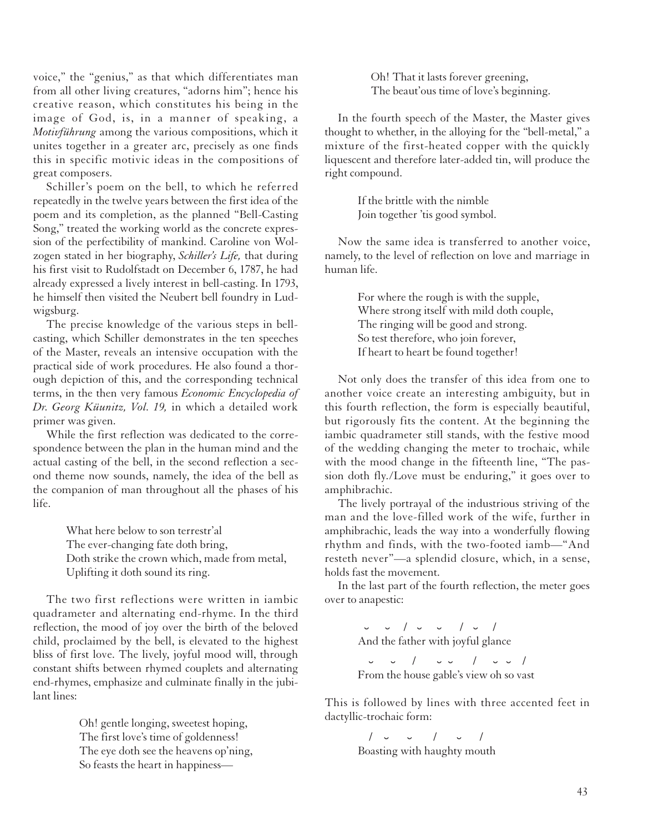voice," the "genius," as that which differentiates man from all other living creatures, "adorns him"; hence his creative reason, which constitutes his being in the image of God, is, in a manner of speaking, a *Motivführung* among the various compositions, which it unites together in a greater arc, precisely as one finds this in specific motivic ideas in the compositions of great composers.

Schiller's poem on the bell, to which he referred repeatedly in the twelve years between the first idea of the poem and its completion, as the planned "Bell-Casting Song," treated the working world as the concrete expression of the perfectibility of mankind. Caroline von Wolzogen stated in her biography, *Schiller's Life,* that during his first visit to Rudolfstadt on December 6, 1787, he had already expressed a lively interest in bell-casting. In 1793, he himself then visited the Neubert bell foundry in Ludwigsburg.

The precise knowledge of the various steps in bellcasting, which Schiller demonstrates in the ten speeches of the Master, reveals an intensive occupation with the practical side of work procedures. He also found a thorough depiction of this, and the corresponding technical terms, in the then very famous *Economic Encyclopedia of Dr. Georg Küunitz, Vol. 19,* in which a detailed work primer was given.

While the first reflection was dedicated to the correspondence between the plan in the human mind and the actual casting of the bell, in the second reflection a second theme now sounds, namely, the idea of the bell as the companion of man throughout all the phases of his life.

> What here below to son terrestr'al The ever-changing fate doth bring, Doth strike the crown which, made from metal, Uplifting it doth sound its ring.

The two first reflections were written in iambic quadrameter and alternating end-rhyme. In the third reflection, the mood of joy over the birth of the beloved child, proclaimed by the bell, is elevated to the highest bliss of first love. The lively, joyful mood will, through constant shifts between rhymed couplets and alternating end-rhymes, emphasize and culminate finally in the jubilant lines:

> Oh! gentle longing, sweetest hoping, The first love's time of goldenness! The eye doth see the heavens op'ning, So feasts the heart in happiness

Oh! That it lasts forever greening, The beaut'ous time of love's beginning.

In the fourth speech of the Master, the Master gives thought to whether, in the alloying for the "bell-metal," a mixture of the first-heated copper with the quickly liquescent and therefore later-added tin, will produce the right compound.

> If the brittle with the nimble Join together 'tis good symbol.

Now the same idea is transferred to another voice, namely, to the level of reflection on love and marriage in human life.

> For where the rough is with the supple, Where strong itself with mild doth couple, The ringing will be good and strong. So test therefore, who join forever, If heart to heart be found together!

Not only does the transfer of this idea from one to another voice create an interesting ambiguity, but in this fourth reflection, the form is especially beautiful, but rigorously fits the content. At the beginning the iambic quadrameter still stands, with the festive mood of the wedding changing the meter to trochaic, while with the mood change in the fifteenth line, "The passion doth fly./Love must be enduring," it goes over to amphibrachic.

The lively portrayal of the industrious striving of the man and the love-filled work of the wife, further in amphibrachic, leads the way into a wonderfully flowing rhythm and finds, with the two-footed iamb—"And resteth never"—a splendid closure, which, in a sense, holds fast the movement.

In the last part of the fourth reflection, the meter goes over to anapestic:

> ˘ ˘ / ˘ ˘ / ˘ / And the father with joyful glance

˘ ˘ / ˘ ˘ / ˘ ˘ / From the house gable's view oh so vast

This is followed by lines with three accented feet in dactyllic-trochaic form:

> / ˘ ˘ / ˘ / Boasting with haughty mouth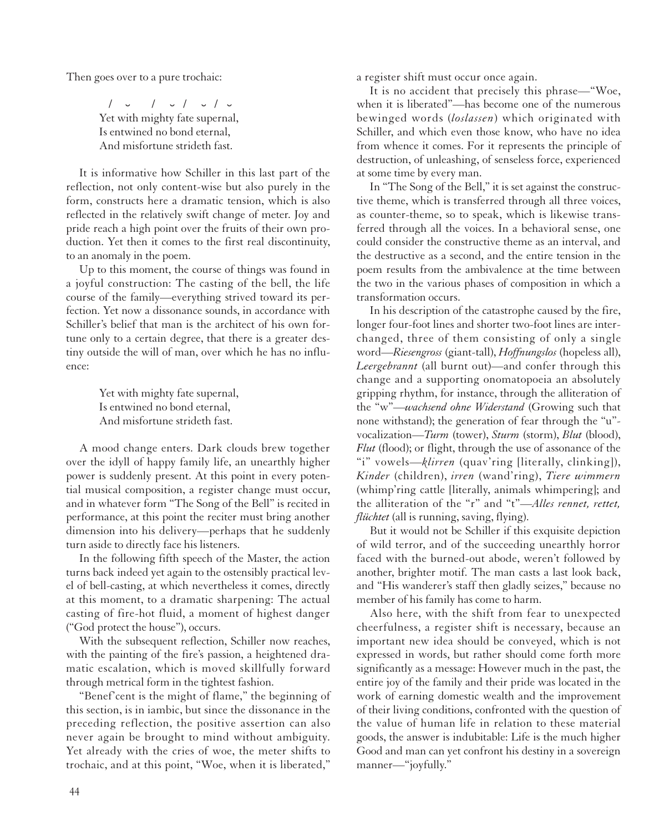Then goes over to a pure trochaic:

 $\frac{1}{\sqrt{2}}$  /  $\frac{1}{\sqrt{2}}$  /  $\frac{1}{\sqrt{2}}$  /  $\frac{1}{\sqrt{2}}$  Yet with mighty fate supernal, Is entwined no bond eternal, And misfortune strideth fast.

It is informative how Schiller in this last part of the reflection, not only content-wise but also purely in the form, constructs here a dramatic tension, which is also reflected in the relatively swift change of meter. Joy and pride reach a high point over the fruits of their own production. Yet then it comes to the first real discontinuity, to an anomaly in the poem.

Up to this moment, the course of things was found in a joyful construction: The casting of the bell, the life course of the family—everything strived toward its perfection. Yet now a dissonance sounds, in accordance with Schiller's belief that man is the architect of his own fortune only to a certain degree, that there is a greater destiny outside the will of man, over which he has no influence:

> Yet with mighty fate supernal, Is entwined no bond eternal, And misfortune strideth fast.

A mood change enters. Dark clouds brew together over the idyll of happy family life, an unearthly higher power is suddenly present. At this point in every potential musical composition, a register change must occur, and in whatever form "The Song of the Bell" is recited in performance, at this point the reciter must bring another dimension into his delivery—perhaps that he suddenly turn aside to directly face his listeners.

In the following fifth speech of the Master, the action turns back indeed yet again to the ostensibly practical level of bell-casting, at which nevertheless it comes, directly at this moment, to a dramatic sharpening: The actual casting of fire-hot fluid, a moment of highest danger ("God protect the house"), occurs.

With the subsequent reflection, Schiller now reaches, with the painting of the fire's passion, a heightened dramatic escalation, which is moved skillfully forward through metrical form in the tightest fashion.

"Benef'cent is the might of flame," the beginning of this section, is in iambic, but since the dissonance in the preceding reflection, the positive assertion can also never again be brought to mind without ambiguity. Yet already with the cries of woe, the meter shifts to trochaic, and at this point, "Woe, when it is liberated," a register shift must occur once again.

It is no accident that precisely this phrase—"Woe, when it is liberated"—has become one of the numerous bewinged words (*loslassen*) which originated with Schiller, and which even those know, who have no idea from whence it comes. For it represents the principle of destruction, of unleashing, of senseless force, experienced at some time by every man.

In "The Song of the Bell," it is set against the constructive theme, which is transferred through all three voices, as counter-theme, so to speak, which is likewise transferred through all the voices. In a behavioral sense, one could consider the constructive theme as an interval, and the destructive as a second, and the entire tension in the poem results from the ambivalence at the time between the two in the various phases of composition in which a transformation occurs.

In his description of the catastrophe caused by the fire, longer four-foot lines and shorter two-foot lines are interchanged, three of them consisting of only a single word—*Riesengross* (giant-tall), *Hoffnungslos* (hopeless all), *Leergebrannt* (all burnt out)—and confer through this change and a supporting onomatopoeia an absolutely gripping rhythm, for instance, through the alliteration of the "w"—*wachsend ohne Widerstand* (Growing such that none withstand); the generation of fear through the "u" vocalization—*Turm* (tower), *Sturm* (storm), *Blut* (blood), *Flut* (flood); or flight, through the use of assonance of the "i" vowels—*klirren* (quav'ring [literally, clinking]), *Kinder* (children), *irren* (wand'ring), *Tiere wimmern* (whimp'ring cattle [literally, animals whimpering]; and the alliteration of the "r" and "t"—*Alles rennet, rettet, flüchtet* (all is running, saving, flying).

But it would not be Schiller if this exquisite depiction of wild terror, and of the succeeding unearthly horror faced with the burned-out abode, weren't followed by another, brighter motif. The man casts a last look back, and "His wanderer's staff then gladly seizes," because no member of his family has come to harm.

Also here, with the shift from fear to unexpected cheerfulness, a register shift is necessary, because an important new idea should be conveyed, which is not expressed in words, but rather should come forth more significantly as a message: However much in the past, the entire joy of the family and their pride was located in the work of earning domestic wealth and the improvement of their living conditions, confronted with the question of the value of human life in relation to these material goods, the answer is indubitable: Life is the much higher Good and man can yet confront his destiny in a sovereign manner—"joyfully."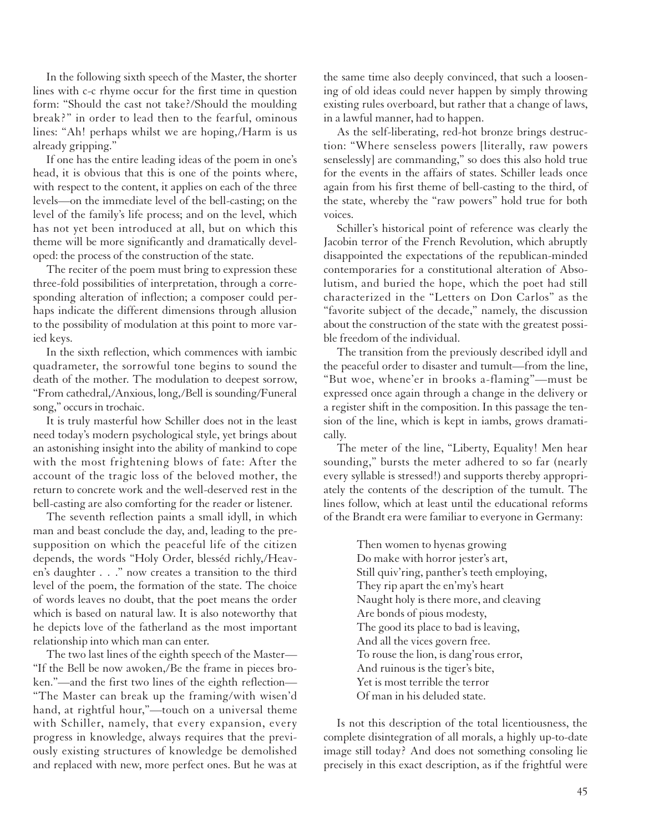In the following sixth speech of the Master, the shorter lines with c-c rhyme occur for the first time in question form: "Should the cast not take?/Should the moulding break?" in order to lead then to the fearful, ominous lines: "Ah! perhaps whilst we are hoping,/Harm is us already gripping."

If one has the entire leading ideas of the poem in one's head, it is obvious that this is one of the points where, with respect to the content, it applies on each of the three levels—on the immediate level of the bell-casting; on the level of the family's life process; and on the level, which has not yet been introduced at all, but on which this theme will be more significantly and dramatically developed: the process of the construction of the state.

The reciter of the poem must bring to expression these three-fold possibilities of interpretation, through a corresponding alteration of inflection; a composer could perhaps indicate the different dimensions through allusion to the possibility of modulation at this point to more varied keys.

In the sixth reflection, which commences with iambic quadrameter, the sorrowful tone begins to sound the death of the mother. The modulation to deepest sorrow, "From cathedral,/Anxious, long,/Bell is sounding/Funeral song," occurs in trochaic.

It is truly masterful how Schiller does not in the least need today's modern psychological style, yet brings about an astonishing insight into the ability of mankind to cope with the most frightening blows of fate: After the account of the tragic loss of the beloved mother, the return to concrete work and the well-deserved rest in the bell-casting are also comforting for the reader or listener.

The seventh reflection paints a small idyll, in which man and beast conclude the day, and, leading to the presupposition on which the peaceful life of the citizen depends, the words "Holy Order, blesséd richly,/Heaven's daughter . . ." now creates a transition to the third level of the poem, the formation of the state. The choice of words leaves no doubt, that the poet means the order which is based on natural law. It is also noteworthy that he depicts love of the fatherland as the most important relationship into which man can enter.

The two last lines of the eighth speech of the Master— "If the Bell be now awoken,/Be the frame in pieces broken."—and the first two lines of the eighth reflection— "The Master can break up the framing/with wisen'd hand, at rightful hour,"—touch on a universal theme with Schiller, namely, that every expansion, every progress in knowledge, always requires that the previously existing structures of knowledge be demolished and replaced with new, more perfect ones. But he was at

the same time also deeply convinced, that such a loosening of old ideas could never happen by simply throwing existing rules overboard, but rather that a change of laws, in a lawful manner, had to happen.

As the self-liberating, red-hot bronze brings destruction: "Where senseless powers [literally, raw powers senselessly] are commanding," so does this also hold true for the events in the affairs of states. Schiller leads once again from his first theme of bell-casting to the third, of the state, whereby the "raw powers" hold true for both voices.

Schiller's historical point of reference was clearly the Jacobin terror of the French Revolution, which abruptly disappointed the expectations of the republican-minded contemporaries for a constitutional alteration of Absolutism, and buried the hope, which the poet had still characterized in the "Letters on Don Carlos" as the "favorite subject of the decade," namely, the discussion about the construction of the state with the greatest possible freedom of the individual.

The transition from the previously described idyll and the peaceful order to disaster and tumult—from the line, "But woe, whene'er in brooks a-flaming"—must be expressed once again through a change in the delivery or a register shift in the composition. In this passage the tension of the line, which is kept in iambs, grows dramatically.

The meter of the line, "Liberty, Equality! Men hear sounding," bursts the meter adhered to so far (nearly every syllable is stressed!) and supports thereby appropriately the contents of the description of the tumult. The lines follow, which at least until the educational reforms of the Brandt era were familiar to everyone in Germany:

> Then women to hyenas growing Do make with horror jester's art, Still quiv'ring, panther's teeth employing, They rip apart the en'my's heart Naught holy is there more, and cleaving Are bonds of pious modesty, The good its place to bad is leaving, And all the vices govern free. To rouse the lion, is dang'rous error, And ruinous is the tiger's bite, Yet is most terrible the terror Of man in his deluded state.

Is not this description of the total licentiousness, the complete disintegration of all morals, a highly up-to-date image still today? And does not something consoling lie precisely in this exact description, as if the frightful were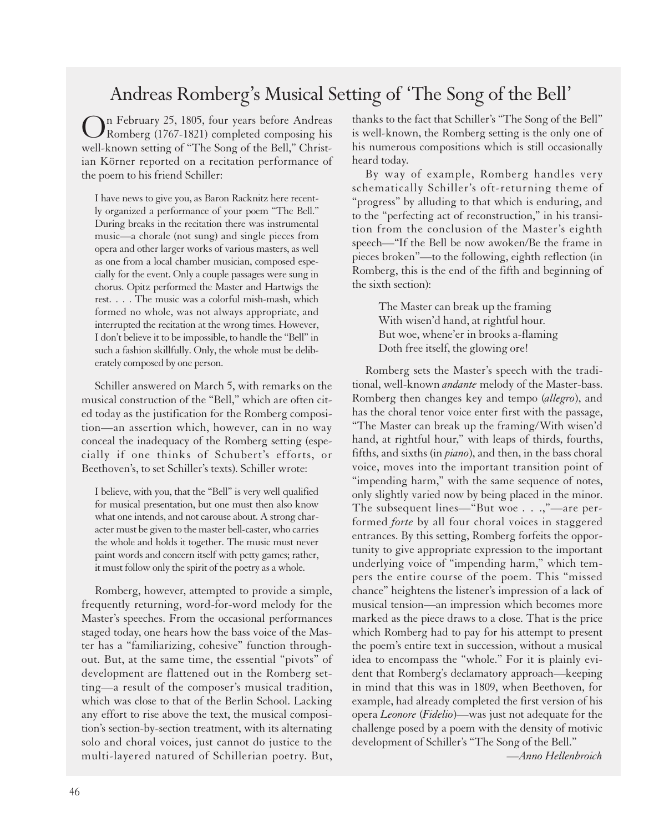#### Andreas Romberg's Musical Setting of 'The Song of the Bell'

On February 25, 1805, four years before Andreas Romberg (1767-1821) completed composing his well-known setting of "The Song of the Bell," Christian Körner reported on a recitation performance of the poem to his friend Schiller:

I have news to give you, as Baron Racknitz here recently organized a performance of your poem "The Bell." During breaks in the recitation there was instrumental music—a chorale (not sung) and single pieces from opera and other larger works of various masters, as well as one from a local chamber musician, composed especially for the event. Only a couple passages were sung in chorus. Opitz performed the Master and Hartwigs the rest. . . . The music was a colorful mish-mash, which formed no whole, was not always appropriate, and interrupted the recitation at the wrong times. However, I don't believe it to be impossible, to handle the "Bell" in such a fashion skillfully. Only, the whole must be deliberately composed by one person.

Schiller answered on March 5, with remarks on the musical construction of the "Bell," which are often cited today as the justification for the Romberg composition—an assertion which, however, can in no way conceal the inadequacy of the Romberg setting (especially if one thinks of Schubert's efforts, or Beethoven's, to set Schiller's texts). Schiller wrote:

I believe, with you, that the "Bell" is very well qualified for musical presentation, but one must then also know what one intends, and not carouse about. A strong character must be given to the master bell-caster, who carries the whole and holds it together. The music must never paint words and concern itself with petty games; rather, it must follow only the spirit of the poetry as a whole.

Romberg, however, attempted to provide a simple, frequently returning, word-for-word melody for the Master's speeches. From the occasional performances staged today, one hears how the bass voice of the Master has a "familiarizing, cohesive" function throughout. But, at the same time, the essential "pivots" of development are flattened out in the Romberg setting—a result of the composer's musical tradition, which was close to that of the Berlin School. Lacking any effort to rise above the text, the musical composition's section-by-section treatment, with its alternating solo and choral voices, just cannot do justice to the multi-layered natured of Schillerian poetry. But,

thanks to the fact that Schiller's "The Song of the Bell" is well-known, the Romberg setting is the only one of his numerous compositions which is still occasionally heard today.

By way of example, Romberg handles very schematically Schiller's oft-returning theme of "progress" by alluding to that which is enduring, and to the "perfecting act of reconstruction," in his transition from the conclusion of the Master's eighth speech—"If the Bell be now awoken/Be the frame in pieces broken"—to the following, eighth reflection (in Romberg, this is the end of the fifth and beginning of the sixth section):

> The Master can break up the framing With wisen'd hand, at rightful hour. But woe, whene'er in brooks a-flaming Doth free itself, the glowing ore!

Romberg sets the Master's speech with the traditional, well-known *andante* melody of the Master-bass. Romberg then changes key and tempo (*allegro*), and has the choral tenor voice enter first with the passage, "The Master can break up the framing/With wisen'd hand, at rightful hour," with leaps of thirds, fourths, fifths, and sixths (in *piano*), and then, in the bass choral voice, moves into the important transition point of "impending harm," with the same sequence of notes, only slightly varied now by being placed in the minor. The subsequent lines—"But woe . . .,"—are performed *forte* by all four choral voices in staggered entrances. By this setting, Romberg forfeits the opportunity to give appropriate expression to the important underlying voice of "impending harm," which tempers the entire course of the poem. This "missed chance" heightens the listener's impression of a lack of musical tension—an impression which becomes more marked as the piece draws to a close. That is the price which Romberg had to pay for his attempt to present the poem's entire text in succession, without a musical idea to encompass the "whole." For it is plainly evident that Romberg's declamatory approach—keeping in mind that this was in 1809, when Beethoven, for example, had already completed the first version of his opera *Leonore* (*Fidelio*)—was just not adequate for the challenge posed by a poem with the density of motivic development of Schiller's "The Song of the Bell."

*—Anno Hellenbroich*